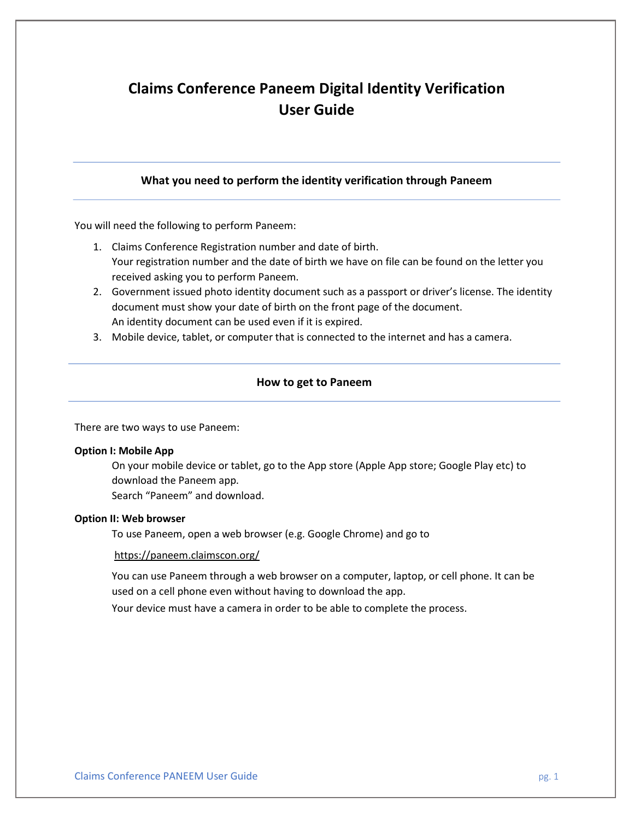# Claims Conference Paneem Digital Identity Verification User Guide

## What you need to perform the identity verification through Paneem

You will need the following to perform Paneem:

- 1. Claims Conference Registration number and date of birth. Your registration number and the date of birth we have on file can be found on the letter you received asking you to perform Paneem.
- 2. Government issued photo identity document such as a passport or driver's license. The identity document must show your date of birth on the front page of the document. An identity document can be used even if it is expired.
- 3. Mobile device, tablet, or computer that is connected to the internet and has a camera.

## How to get to Paneem

There are two ways to use Paneem:

### Option I: Mobile App

On your mobile device or tablet, go to the App store (Apple App store; Google Play etc) to download the Paneem app. Search "Paneem" and download.

## Option II: Web browser

To use Paneem, open a web browser (e.g. Google Chrome) and go to

### https://paneem.claimscon.org/

You can use Paneem through a web browser on a computer, laptop, or cell phone. It can be used on a cell phone even without having to download the app.

Your device must have a camera in order to be able to complete the process.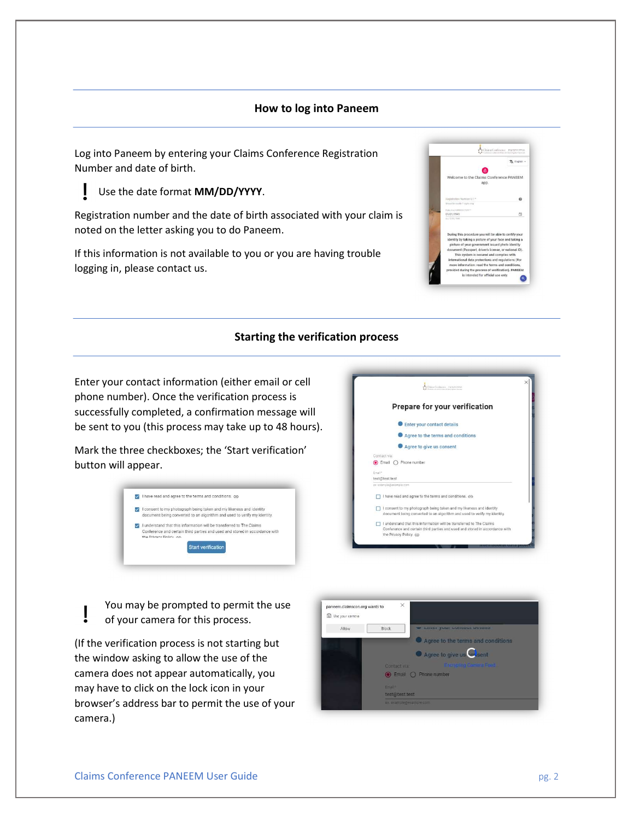#### How to log into Paneem

Log into Paneem by entering your Claims Conference Registration Number and date of birth.

## Use the date format MM/DD/YYYY.

Registration number and the date of birth associated with your claim is noted on the letter asking you to do Paneem.

If this information is not available to you or you are having trouble logging in, please contact us.

|                                         | 文 English =                                                                                                                                                                                                                                                                                                                                                                         |
|-----------------------------------------|-------------------------------------------------------------------------------------------------------------------------------------------------------------------------------------------------------------------------------------------------------------------------------------------------------------------------------------------------------------------------------------|
|                                         |                                                                                                                                                                                                                                                                                                                                                                                     |
|                                         | Welcome to the Claims Conference PANEEM<br>app.                                                                                                                                                                                                                                                                                                                                     |
| Registration Number 0/7.*               |                                                                                                                                                                                                                                                                                                                                                                                     |
| Should be coachly 7 statis ning         |                                                                                                                                                                                                                                                                                                                                                                                     |
| Deteror peint BBADGPYPYY"<br>01/01/1945 | a                                                                                                                                                                                                                                                                                                                                                                                   |
| BEGINDED A                              |                                                                                                                                                                                                                                                                                                                                                                                     |
|                                         | During this procedure you will be able to certify your                                                                                                                                                                                                                                                                                                                              |
|                                         | identity by taking a picture of your face and taking a<br>picture of your government issued photo identity<br>document (Passport, driver's license, or national ID).<br>This system is secured and complies with<br>international data protections and regulations (For<br>more information: read the terms and conditions.<br>provided during the process of verification). PANEEM |

## Starting the verification process

Enter your contact information (either email or cell phone number). Once the verification process is successfully completed, a confirmation message will be sent to you (this process may take up to 48 hours).

Mark the three checkboxes; the 'Start verification' button will appear.





You may be prompted to permit the use of your camera for this process.

(If the verification process is not starting but the window asking to allow the use of the camera does not appear automatically, you may have to click on the lock icon in your browser's address bar to permit the use of your camera.)

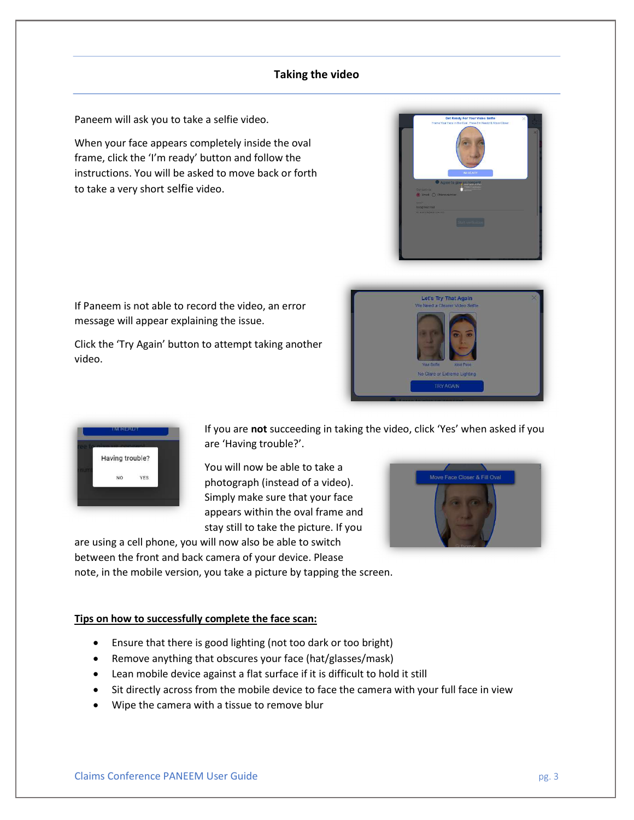## Taking the video

Paneem will ask you to take a selfie video.

When your face appears completely inside the oval frame, click the 'I'm ready' button and follow the instructions. You will be asked to move back or forth to take a very short selfie video.

If Paneem is not able to record the video, an error message will appear explaining the issue.

Click the 'Try Again' button to attempt taking another video.







If you are not succeeding in taking the video, click 'Yes' when asked if you are 'Having trouble?'.

You will now be able to take a photograph (instead of a video). Simply make sure that your face appears within the oval frame and stay still to take the picture. If you



are using a cell phone, you will now also be able to switch between the front and back camera of your device. Please note, in the mobile version, you take a picture by tapping the screen.

## Tips on how to successfully complete the face scan:

- Ensure that there is good lighting (not too dark or too bright)
- Remove anything that obscures your face (hat/glasses/mask)
- Lean mobile device against a flat surface if it is difficult to hold it still
- Sit directly across from the mobile device to face the camera with your full face in view
- Wipe the camera with a tissue to remove blur